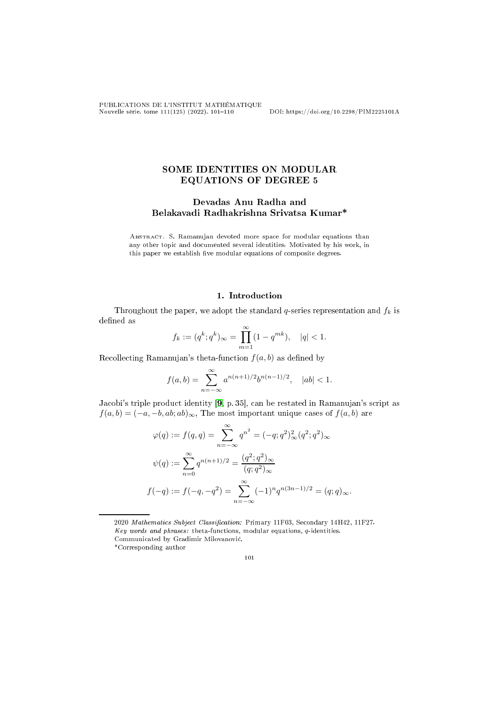PUBLICATIONS DE L'INSTITUT MATHÉMATIQUE Nouvelle série, tome 111(125) (2022), 101110 DOI: https://doi.org/10.2298/PIM2225101A

# SOME IDENTITIES ON MODULAR EQUATIONS OF DEGREE 5

## Devadas Anu Radha and Belakavadi Radhakrishna Srivatsa Kumar\*

Abstra
t. S. Ramanujan devoted more spa
e for modular equations than any other topi and do
umented several identities. Motivated by his work, in this paper we establish five modular equations of composite degrees.

### 1. Introduction

Throughout the paper, we adopt the standard  $q$ -series representation and  $f_k$  is defined as

$$
f_k := (q^k; q^k)_{\infty} = \prod_{m=1}^{\infty} (1 - q^{mk}), \quad |q| < 1.
$$

Recollecting Ramanujan's theta-function  $f(a, b)$  as defined by

$$
f(a,b) = \sum_{n=-\infty}^{\infty} a^{n(n+1)/2} b^{n(n-1)/2}, \quad |ab| < 1.
$$

Jacobi's triple product identity [\[9,](#page-8-0) p. 35], can be restated in Ramanujan's script as  $f(a, b) = (-a, -b, ab; ab)_{\infty}$ , The most important unique cases of  $f(a, b)$  are

$$
\varphi(q) := f(q, q) = \sum_{n = -\infty}^{\infty} q^{n^2} = (-q; q^2)_{\infty}^2 (q^2; q^2)_{\infty}
$$

$$
\psi(q) := \sum_{n = 0}^{\infty} q^{n(n+1)/2} = \frac{(q^2; q^2)_{\infty}}{(q; q^2)_{\infty}}
$$

$$
f(-q) := f(-q, -q^2) = \sum_{n = -\infty}^{\infty} (-1)^n q^{n(3n - 1)/2} = (q; q)_{\infty}.
$$

2020 Mathematics Subject Classification: Primary 11F03, Secondary 14H42, 11F27. Key words and phrases: theta-functions, modular equations,  $q$ -identities. Communi
ated by Gradimir Milovanovi¢. \*Corresponding author

101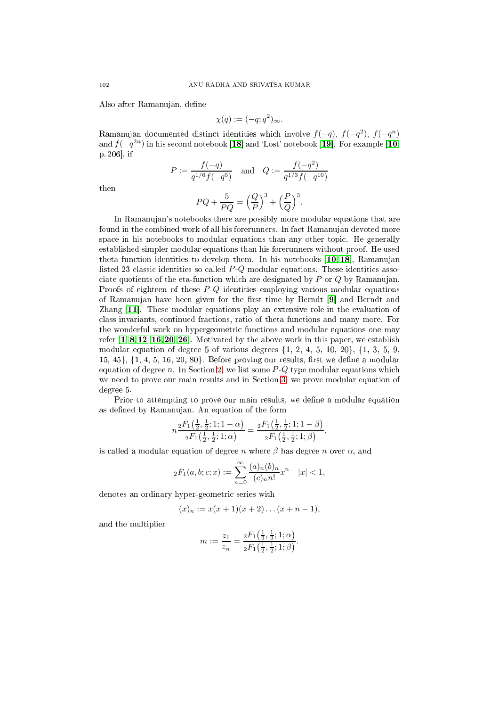Also after Ramanujan, define

$$
\chi(q) := (-q; q^2)_{\infty}.
$$

Ramanujan documented distinct identities which involve  $f(-q)$ ,  $f(-q^2)$ ,  $f(-q^n)$ and  $f(-q^{2n})$  in his second notebook  $\bm{[18]}$  and 'Lost' notebook  $\bm{[19]}$ . For example  $\bm{[10]}$ , p.  $206$ , if

$$
P := \frac{f(-q)}{q^{1/6}f(-q^5)} \quad \text{and} \quad Q := \frac{f(-q^2)}{q^{1/3}f(-q^{10})}
$$

$$
PQ + \frac{5}{PQ} = \left(\frac{Q}{P}\right)^3 + \left(\frac{P}{Q}\right)^3.
$$

then

In Ramanujan's notebooks there are possibly more modular equations that are found in the ombined work of all his forerunners. In fa
t Ramanujan devoted more spa
e in his notebooks to modular equations than any other topi
. He generally established simpler modular equations than his forerunners without proof. He used theta function identities to develop them. In his notebooks [\[10,](#page-8-3) 18], Ramanujan listed 23 classic identities so called P-Q modular equations. These identities associate quotients of the eta-function which are designated by  $P$  or  $Q$  by Ramanujan. Proofs of eighteen of these  $P-Q$  identities employing various modular equations of Ramanujan have been given for the first time by Berndt [9] and Berndt and Zhang  $[11]$ . These modular equations play an extensive role in the evaluation of class invariants, continued fractions, ratio of theta functions and many more. For the wonderful work on hypergeometri fun
tions and modular equations one may refer  $[1-8, 12-16, 20-26]$  $[1-8, 12-16, 20-26]$  $[1-8, 12-16, 20-26]$  $[1-8, 12-16, 20-26]$  $[1-8, 12-16, 20-26]$  $[1-8, 12-16, 20-26]$  $[1-8, 12-16, 20-26]$  $[1-8, 12-16, 20-26]$  $[1-8, 12-16, 20-26]$  $[1-8, 12-16, 20-26]$ . Motivated by the above work in this paper, we establish modular equation of degree 5 of various degrees  $\{1, 2, 4, 5, 10, 20\}, \{1, 3, 5, 9, 10\}$  $15, 45\}, \{1, 4, 5, 16, 20, 80\}.$  Before proving our results, first we define a modular equation of degree  $n$ . In Section [2,](#page-2-0) we list some  $P-Q$  type modular equations which we need to prove our main results and in Section [3,](#page-2-1) we prove modular equation of degree 5.

Prior to attempting to prove our main results, we define a modular equation as defined by Ramanujan. An equation of the form

$$
n\frac{{}_2F_1\left(\frac{1}{2},\frac{1}{2};1;1-\alpha\right)}{{}_2F_1\left(\frac{1}{2},\frac{1}{2};1;\alpha\right)}=\frac{{}_2F_1\left(\frac{1}{2},\frac{1}{2};1;1-\beta\right)}{{}_2F_1\left(\frac{1}{2},\frac{1}{2};1;\beta\right)},
$$

is called a modular equation of degree n where  $\beta$  has degree n over  $\alpha$ , and

$$
{}_2F_1(a,b;c;x) := \sum_{n=0}^{\infty} \frac{(a)_n (b)_n}{(c)_n n!} x^n \quad |x| < 1,
$$

denotes an ordinary hyper-geometric series with

$$
(x)_n := x(x+1)(x+2)\dots(x+n-1),
$$

and the multiplier

$$
m := \frac{z_1}{z_n} = \frac{{}_2F_1\left(\frac{1}{2},\frac{1}{2};1;\alpha\right)}{{}_2F_1\left(\frac{1}{2},\frac{1}{2};1;\beta\right)}.
$$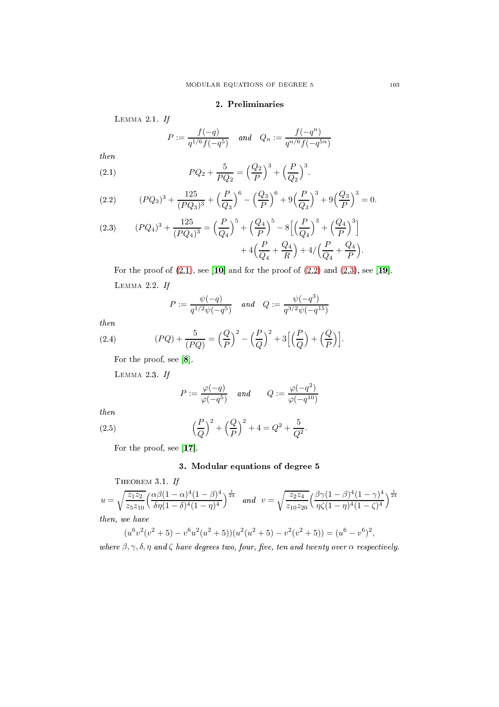### 2. Preliminaries

<span id="page-2-0"></span>LEMMA  $2.1.$  If

<span id="page-2-2"></span>
$$
P := \frac{f(-q)}{q^{1/6}f(-q^5)} \quad and \quad Q_n := \frac{f(-q^n)}{q^{n/6}f(-q^{5n})}
$$

then

(2.1) 
$$
PQ_2 + \frac{5}{PQ_2} = \left(\frac{Q_2}{P}\right)^3 + \left(\frac{P}{Q_2}\right)^3.
$$

<span id="page-2-3"></span>(2.2) 
$$
(PQ_3)^3 + \frac{125}{(PQ_3)^3} + \left(\frac{P}{Q_3}\right)^6 - \left(\frac{Q_3}{P}\right)^6 + 9\left(\frac{P}{Q_3}\right)^3 + 9\left(\frac{Q_3}{P}\right)^3 = 0.
$$

<span id="page-2-4"></span>(2.3) 
$$
(PQ_4)^3 + \frac{125}{(PQ_4)^3} = \left(\frac{P}{Q_4}\right)^5 + \left(\frac{Q_4}{P}\right)^5 - 8\left[\left(\frac{P}{Q_4}\right)^3 + \left(\frac{Q_4}{P}\right)^3\right] + 4\left(\frac{P}{Q_4} + \frac{Q_4}{R}\right) + 4/\left(\frac{P}{Q_4} + \frac{Q_4}{P}\right).
$$

For the proof of  $(2.1)$ , see [10] and for the proof of  $(2.2)$  and  $(2.3)$ , see [19]. Lemma 2.2. If

<span id="page-2-5"></span>
$$
P := \frac{\psi(-q)}{q^{1/2}\psi(-q^5)} \quad \text{and} \quad Q := \frac{\psi(-q^3)}{q^{3/2}\psi(-q^{15})}
$$

then

(2.4) 
$$
(PQ) + \frac{5}{(PQ)} = \left(\frac{Q}{P}\right)^2 - \left(\frac{P}{Q}\right)^2 + 3\left[\left(\frac{P}{Q}\right) + \left(\frac{Q}{P}\right)\right].
$$

For the proof, see  $[8]$ .

Lemma 2.3. If

$$
P:=\frac{\varphi(-q)}{\varphi(-q^5)}\quad\text{and}\qquad Q:=\frac{\varphi(-q^2)}{\varphi(-q^{10})}
$$

then

(2.5) 
$$
\left(\frac{P}{Q}\right)^2 + \left(\frac{Q}{P}\right)^2 + 4 = Q^2 + \frac{5}{Q^2}.
$$

<span id="page-2-1"></span>For the proof, see  $[17]$ .

## <span id="page-2-6"></span>3. Modular equations of degree 5

THEOREM 3.1. If  $u=\sqrt{\frac{z_1z_2}{x_1}}$  $z_5z_{10}$  $\int \frac{\alpha\beta(1-\alpha)^4(1-\beta)^4}{\alpha}$  $\frac{\alpha\beta(1-\alpha)^4(1-\beta)^4}{\delta\eta(1-\delta)^4(1-\eta)^4}$  and  $v = \sqrt{\frac{z_2z_4}{z_{10}z_2}}$  $z_{10}z_{20}$  $\int \frac{\beta \gamma (1-\beta)^4 (1-\gamma)^4}{\beta}$  $\frac{\beta \gamma (1-\beta)^4 (1-\gamma)^4}{\eta \zeta (1-\eta)^4 (1-\zeta)^4}$ then, we have

$$
(u6v2(v2+5)-v6u2(u2+5))(u2(u2+5)-v2(v2+5))=(u6-v6)2,
$$

where  $\beta, \gamma, \delta, \eta$  and  $\zeta$  have degrees two, four, five, ten and twenty over  $\alpha$  respectively.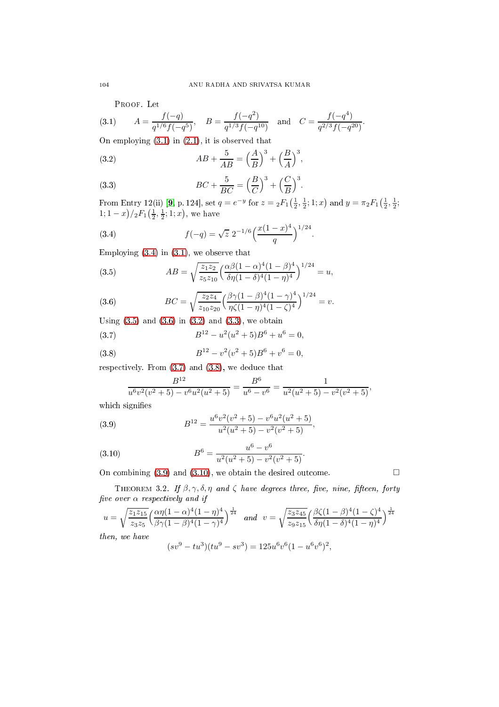<span id="page-3-0"></span>Proof. Let

(3.1) 
$$
A = \frac{f(-q)}{q^{1/6}f(-q^5)}, \quad B = \frac{f(-q^2)}{q^{1/3}f(-q^{10})} \text{ and } C = \frac{f(-q^4)}{q^{2/3}f(-q^{20})}.
$$

On employing [\(3.1\)](#page-3-0) in [\(2.1\)](#page-2-2), it is observed that

<span id="page-3-4"></span>(3.2) 
$$
AB + \frac{5}{AB} = \left(\frac{A}{B}\right)^3 + \left(\frac{B}{A}\right)^3,
$$

<span id="page-3-5"></span>(3.3) 
$$
BC + \frac{5}{BC} = \left(\frac{B}{C}\right)^3 + \left(\frac{C}{B}\right)^3.
$$

From Entry 12(ii) [\[9,](#page-8-0) p. 124], set  $q = e^{-y}$  for  $z = {}_2F_1(\frac{1}{2}, \frac{1}{2}; 1; x)$  and  $y = \pi {}_2F_1(\frac{1}{2}, \frac{1}{2};$  $1; 1-x)/_2F_1(\frac{1}{2}, \frac{1}{2}; 1; x)$ , we have

<span id="page-3-1"></span>(3.4) 
$$
f(-q) = \sqrt{z} \; 2^{-1/6} \left( \frac{x(1-x)^4}{q} \right)^{1/24}.
$$

Employing [\(3.4\)](#page-3-1) in [\(3.1\)](#page-3-0), we observe that

<span id="page-3-2"></span>(3.5) 
$$
AB = \sqrt{\frac{z_1 z_2}{z_5 z_{10}}} \left( \frac{\alpha \beta (1 - \alpha)^4 (1 - \beta)^4}{\delta \eta (1 - \delta)^4 (1 - \eta)^4} \right)^{1/24} = u,
$$

<span id="page-3-3"></span>(3.6) 
$$
BC = \sqrt{\frac{z_2 z_4}{z_{10} z_{20}}} \left(\frac{\beta \gamma (1 - \beta)^4 (1 - \gamma)^4}{\eta \zeta (1 - \eta)^4 (1 - \zeta)^4}\right)^{1/24} = v.
$$

Using  $(3.5)$  and  $(3.6)$  in  $(3.2)$  and  $(3.3)$ , we obtain

(3.7) 
$$
B^{12} - u^2(u^2 + 5)B^6 + u^6 = 0,
$$

(3.8) 
$$
B^{12} - v^2(v^2 + 5)B^6 + v^6 = 0,
$$

respectively. From  $(3.7)$  and  $(3.8)$ , we deduce that

<span id="page-3-8"></span><span id="page-3-7"></span><span id="page-3-6"></span>
$$
\frac{B^{12}}{u^6v^2(v^2+5)-v^6u^2(u^2+5)}=\frac{B^6}{u^6-v^6}=\frac{1}{u^2(u^2+5)-v^2(v^2+5)},
$$

which signifies

(3.9) 
$$
B^{12} = \frac{u^6 v^2 (v^2 + 5) - v^6 u^2 (u^2 + 5)}{u^2 (u^2 + 5) - v^2 (v^2 + 5)},
$$

<span id="page-3-9"></span>(3.10) 
$$
B^6 = \frac{u^6 - v^6}{u^2(u^2 + 5) - v^2(v^2 + 5)}.
$$

On combining  $(3.9)$  and  $(3.10)$ , we obtain the desired outcome.

THEOREM 3.2. If  $\beta$ ,  $\gamma$ ,  $\delta$ ,  $\eta$  and  $\zeta$  have degrees three, five, nine, fifteen, forty five over  $\alpha$  respectively and if

$$
u = \sqrt{\frac{z_1 z_{15}}{z_3 z_5}} \left( \frac{\alpha \eta (1 - \alpha)^4 (1 - \eta)^4}{\beta \gamma (1 - \beta)^4 (1 - \gamma)^4} \right)^{\frac{1}{24}} \quad \text{and} \quad v = \sqrt{\frac{z_3 z_{45}}{z_9 z_{15}}} \left( \frac{\beta \zeta (1 - \beta)^4 (1 - \zeta)^4}{\delta \eta (1 - \delta)^4 (1 - \eta)^4} \right)^{\frac{1}{24}}
$$
\n
$$
\text{then, we have}
$$
\n
$$
(sv^9 - tu^3)(tu^9 - sv^3) = 125u^6 v^6 (1 - u^6 v^6)^2,
$$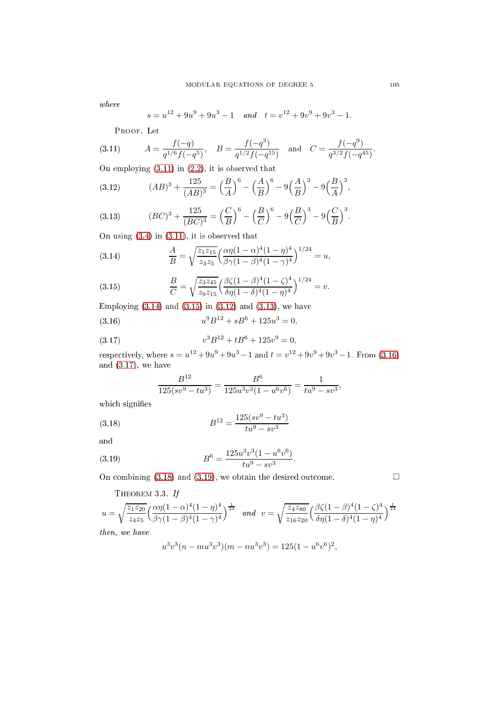where

<span id="page-4-0"></span>
$$
s = u^{12} + 9u^9 + 9u^3 - 1
$$
 and  $t = v^{12} + 9v^9 + 9v^3 - 1$ .

Proof. Let

(3.11) 
$$
A = \frac{f(-q)}{q^{1/6}f(-q^5)}, \quad B = \frac{f(-q^3)}{q^{1/2}f(-q^{15})} \quad \text{and} \quad C = \frac{f(-q^9)}{q^{3/2}f(-q^{45})}.
$$

On employing [\(3.11\)](#page-4-0) in [\(2.2\)](#page-2-3), it is observed that

<span id="page-4-3"></span>(3.12) 
$$
(AB)^3 + \frac{125}{(AB)^3} = \left(\frac{B}{A}\right)^6 - \left(\frac{A}{B}\right)^6 - 9\left(\frac{A}{B}\right)^3 - 9\left(\frac{B}{A}\right)^3,
$$

<span id="page-4-4"></span>(3.13) 
$$
(BC)^3 + \frac{125}{(BC)^3} = \left(\frac{C}{B}\right)^6 - \left(\frac{B}{C}\right)^6 - 9\left(\frac{B}{C}\right)^3 - 9\left(\frac{C}{B}\right)^3.
$$

On using [\(3.4\)](#page-3-1) in [\(3.11\)](#page-4-0), it is observed that

<span id="page-4-1"></span>(3.14) 
$$
\frac{A}{B} = \sqrt{\frac{z_1 z_{15}}{z_3 z_5}} \left( \frac{\alpha \eta (1 - \alpha)^4 (1 - \eta)^4}{\beta \gamma (1 - \beta)^4 (1 - \gamma)^4} \right)^{1/24} = u,
$$

<span id="page-4-2"></span>(3.15) 
$$
\frac{B}{C} = \sqrt{\frac{z_3 z_{45}}{z_9 z_{15}}} \left( \frac{\beta \zeta (1 - \beta)^4 (1 - \zeta)^4}{\delta \eta (1 - \delta)^4 (1 - \eta)^4} \right)^{1/24} = v.
$$

Employing  $(3.14)$  and  $(3.15)$  in  $(3.12)$  and  $(3.13)$ , we have  $(3.16)$  ${}^{9}B^{12} + sB^6 + 125u^3 = 0,$ 

(3.17) 
$$
v^3 B^{12} + t B^6 + 125 v^9 = 0,
$$

respectively, where  $s = u^{12} + 9u^9 + 9u^3 - 1$  and  $t = v^{12} + 9v^9 + 9v^3 - 1$ . From [\(3.16\)](#page-4-5) and  $(3.17)$ , we have

<span id="page-4-7"></span><span id="page-4-6"></span><span id="page-4-5"></span>
$$
\frac{B^{12}}{125(sv^9 - tu^3)} = \frac{B^6}{125u^3v^3(1 - u^6v^6)} = \frac{1}{tu^9 - sv^3},
$$

which signifies

(3.18) 
$$
B^{12} = \frac{125(sv^9 - tu^3)}{tu^9 - sv^3}
$$

and

(3.19) 
$$
B^{6} = \frac{125u^{3}v^{3}(1 - u^{6}v^{6})}{tu^{9} - sv^{3}}
$$

On combining  $(3.18)$  and  $(3.19)$ , we obtain the desired outcome.

<span id="page-4-9"></span>THEOREM 3.3. If  
\n
$$
u = \sqrt{\frac{z_1 z_{20}}{z_4 z_5}} \left( \frac{\alpha \eta (1 - \alpha)^4 (1 - \eta)^4}{\beta \gamma (1 - \beta)^4 (1 - \gamma)^4} \right)^{\frac{1}{24}} \quad \text{and} \quad v = \sqrt{\frac{z_4 z_{80}}{z_{16} z_{20}}} \left( \frac{\beta \zeta (1 - \beta)^4 (1 - \zeta)^4}{\delta \eta (1 - \delta)^4 (1 - \eta)^4} \right)^{\frac{1}{24}}
$$
\nthen, we have

<span id="page-4-8"></span>.

 $then,$ 

$$
u3v3(n-mu3v3)(m-nu3v3) = 125(1 - u6v6)2,
$$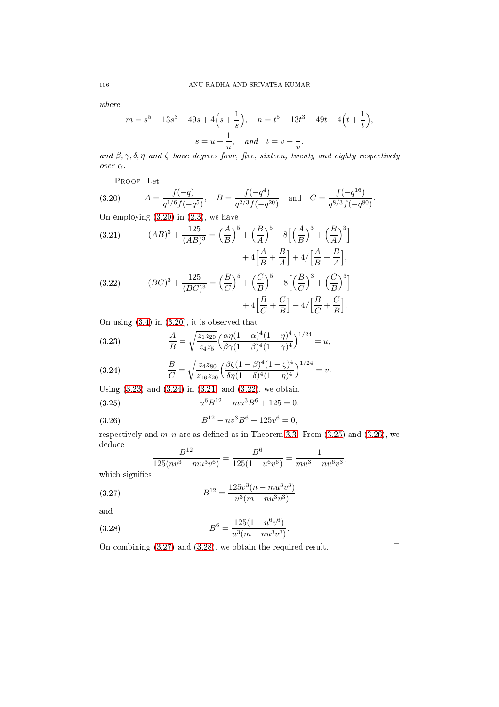where

$$
m = s5 - 13s3 - 49s + 4(s + \frac{1}{s}), \quad n = t5 - 13t3 - 49t + 4(t + \frac{1}{t}),
$$

$$
s = u + \frac{1}{u}, \quad and \quad t = v + \frac{1}{v}.
$$

and  $\beta, \gamma, \delta, \eta$  and  $\zeta$  have degrees four, five, sixteen, twenty and eighty respectively over α.

<span id="page-5-0"></span>Proof. Let

(3.20) 
$$
A = \frac{f(-q)}{q^{1/6}f(-q^5)}, \quad B = \frac{f(-q^4)}{q^{2/3}f(-q^{20})} \text{ and } C = \frac{f(-q^{16})}{q^{8/3}f(-q^{80})}.
$$

On employing [\(3.20\)](#page-5-0) in [\(2.3\)](#page-2-4), we have

<span id="page-5-3"></span>(3.21) 
$$
(AB)^3 + \frac{125}{(AB)^3} = \left(\frac{A}{B}\right)^5 + \left(\frac{B}{A}\right)^5 - 8\left[\left(\frac{A}{B}\right)^3 + \left(\frac{B}{A}\right)^3\right] + 4\left[\frac{A}{B} + \frac{B}{A}\right] + 4/\left[\frac{A}{B} + \frac{B}{A}\right],
$$
  
(3.22) 
$$
(BC)^3 + \frac{125}{(BC)^3} = \left(\frac{B}{C}\right)^5 + \left(\frac{C}{B}\right)^5 - 8\left[\left(\frac{B}{C}\right)^3 + \left(\frac{C}{B}\right)^3\right] + 4\left[\frac{B}{C} + \frac{C}{B}\right] + 4/\left[\frac{B}{C} + \frac{C}{B}\right].
$$

<span id="page-5-4"></span>On using [\(3.4\)](#page-3-1) in [\(3.20\)](#page-5-0), it is observed that

<span id="page-5-1"></span>(3.23) 
$$
\frac{A}{B} = \sqrt{\frac{z_1 z_{20}}{z_4 z_5}} \left( \frac{\alpha \eta (1 - \alpha)^4 (1 - \eta)^4}{\beta \gamma (1 - \beta)^4 (1 - \gamma)^4} \right)^{1/24} = u,
$$

<span id="page-5-2"></span>(3.24) 
$$
\frac{B}{C} = \sqrt{\frac{z_4 z_{80}}{z_{16} z_{20}}} \left( \frac{\beta \zeta (1 - \beta)^4 (1 - \zeta)^4}{\delta \eta (1 - \delta)^4 (1 - \eta)^4} \right)^{1/24} = v.
$$

Using  $(3.23)$  and  $(3.24)$  in  $(3.21)$  and  $(3.22)$ , we obtain

(3.25) 
$$
u^6 B^{12} - m u^3 B^6 + 125 = 0,
$$

(3.26) 
$$
B^{12} - nv^3 B^6 + 125v^6 = 0,
$$

respectively and  $m, n$  are as defined as in Theorem [3.3.](#page-4-9) From  $(3.25)$  and  $(3.26)$ , we dedu
e  $\overline{D}$ 12  $\mathbf{B}^6$  $\overline{1}$ 

<span id="page-5-8"></span><span id="page-5-7"></span><span id="page-5-6"></span><span id="page-5-5"></span>
$$
\frac{B^{12}}{125(nv^3 - mu^3v^6)} = \frac{B^6}{125(1 - u^6v^6)} = \frac{1}{mu^3 - nu^6v^3},
$$

which signifies

(3.27) 
$$
B^{12} = \frac{125v^3(n - mu^3v^3)}{u^3(m - nu^3v^3)}
$$

and

(3.28) 
$$
B^{6} = \frac{125(1 - u^{6}v^{6})}{u^{3}(m - nu^{3}v^{3})}.
$$

On combining  $(3.27)$  and  $(3.28)$ , we obtain the required result.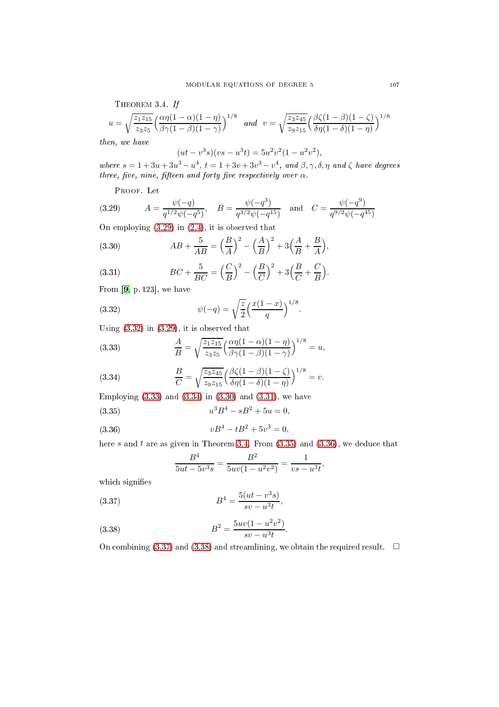<span id="page-6-6"></span>THEOREM 3.4. If  
\n
$$
u = \sqrt{\frac{z_1 z_{15}}{z_3 z_5}} \left( \frac{\alpha \eta (1 - \alpha)(1 - \eta)}{\beta \gamma (1 - \beta)(1 - \gamma)} \right)^{1/8}
$$
 and 
$$
v = \sqrt{\frac{z_3 z_{45}}{z_9 z_{15}}} \left( \frac{\beta \zeta (1 - \beta)(1 - \zeta)}{\delta \eta (1 - \delta)(1 - \eta)} \right)^{1/8}
$$

then, we have

$$
(ut - v3s)(vs - u3t) = 5u2v2(1 - u2v2),
$$

where  $s = 1 + 3u + 3u^3 - u^4$ ,  $t = 1 + 3v + 3v^3 - v^4$ , and  $\beta, \gamma, \delta, \eta$  and  $\zeta$  have degrees three, five, nine, fifteen and forty five respectively over  $\alpha$ .

<span id="page-6-0"></span>Proof. Let

(3.29) 
$$
A = \frac{\psi(-q)}{q^{1/2}\psi(-q^5)}, \quad B = \frac{\psi(-q^3)}{q^{3/2}\psi(-q^{15})} \text{ and } C = \frac{\psi(-q^9)}{q^{9/2}\psi(-q^{45})}
$$

On employing [\(3.29\)](#page-6-0) in [\(2.4\)](#page-2-5), it is observed that

<span id="page-6-4"></span>(3.30) 
$$
AB + \frac{5}{AB} = \left(\frac{B}{A}\right)^2 - \left(\frac{A}{B}\right)^2 + 3\left(\frac{A}{B} + \frac{B}{A}\right),
$$

<span id="page-6-5"></span>(3.31) 
$$
BC + \frac{5}{BC} = \left(\frac{C}{B}\right)^2 - \left(\frac{B}{C}\right)^2 + 3\left(\frac{B}{C} + \frac{C}{B}\right).
$$

From  $[9, p. 123]$  $[9, p. 123]$ , we have

<span id="page-6-1"></span>(3.32) 
$$
\psi(-q) = \sqrt{\frac{z}{2}} \left( \frac{x(1-x)}{q} \right)^{1/8}.
$$

Using [\(3.32\)](#page-6-1) in [\(3.29\)](#page-6-0), it is observed that

<span id="page-6-2"></span>(3.33) 
$$
\frac{A}{B} = \sqrt{\frac{z_1 z_{15}}{z_3 z_5}} \left( \frac{\alpha \eta (1 - \alpha)(1 - \eta)}{\beta \gamma (1 - \beta)(1 - \gamma)} \right)^{1/8} = u,
$$

<span id="page-6-3"></span>(3.34) 
$$
\frac{B}{C} = \sqrt{\frac{z_3 z_{45}}{z_9 z_{15}}} \left( \frac{\beta \zeta (1 - \beta)(1 - \zeta)}{\delta \eta (1 - \delta)(1 - \eta)} \right)^{1/8} = v.
$$

Employing  $(3.33)$  and  $(3.34)$  in  $(3.30)$  and  $(3.31)$ , we have

(3.35) 
$$
u^3B^4 - sB^2 + 5u = 0,
$$

(3.36) 
$$
vB^4 - tB^2 + 5v^3 = 0,
$$

here  $s$  and  $t$  are as given in Theorem [3.4.](#page-6-6) From  $(3.35)$  and  $(3.36)$ , we deduce that

<span id="page-6-10"></span><span id="page-6-9"></span><span id="page-6-8"></span><span id="page-6-7"></span>
$$
\frac{B^4}{5ut - 5v^3s} = \frac{B^2}{5uv(1 - u^2v^2)} = \frac{1}{vs - u^3t},
$$

which signifies

(3.37) 
$$
B^4 = \frac{5(ut - v^3s)}{sv - u^3t},
$$

(3.38) 
$$
B^2 = \frac{5uv(1 - u^2v^2)}{sv - u^3t}.
$$

On combining [\(3.37\)](#page-6-9) and [\(3.38\)](#page-6-10) and streamlining, we obtain the required result.  $\square$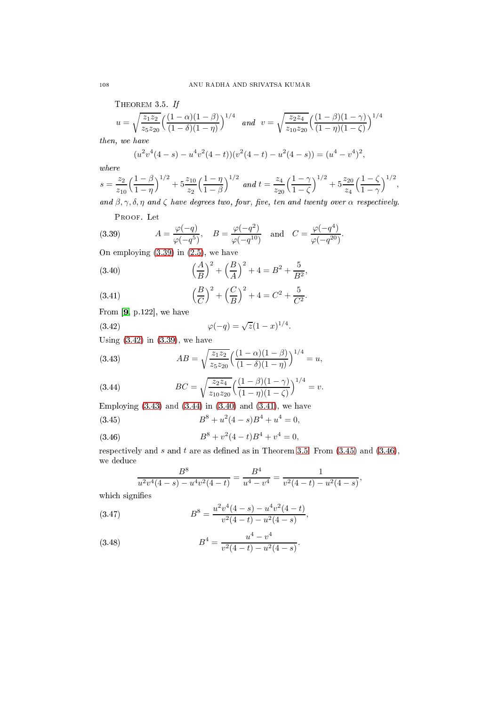<span id="page-7-6"></span>THEOREM 3.5. If

$$
u = \sqrt{\frac{z_1 z_2}{z_5 z_{20}}} \left( \frac{(1 - \alpha)(1 - \beta)}{(1 - \delta)(1 - \eta)} \right)^{1/4} \quad \text{and} \quad v = \sqrt{\frac{z_2 z_4}{z_{10} z_{20}}} \left( \frac{(1 - \beta)(1 - \gamma)}{(1 - \eta)(1 - \zeta)} \right)^{1/4}
$$

then, we have

$$
(u2v4(4-s) – u4v2(4-t))(v2(4-t) – u2(4-s)) = (u4 – v4)2,
$$

where

$$
s = \frac{z_2}{z_{10}} \left( \frac{1-\beta}{1-\eta} \right)^{1/2} + 5 \frac{z_{10}}{z_2} \left( \frac{1-\eta}{1-\beta} \right)^{1/2} \text{ and } t = \frac{z_4}{z_{20}} \left( \frac{1-\gamma}{1-\zeta} \right)^{1/2} + 5 \frac{z_{20}}{z_4} \left( \frac{1-\zeta}{1-\gamma} \right)^{1/2},
$$
  
and  $\beta \sim \delta$  n and c have degrees two four, five ten and twenty over  $\alpha$  respectively.

and  $\beta, \gamma, \delta, \eta$  and  $\zeta$  have degrees two, four, five, ten and twenty over  $\alpha$  respectively.

<span id="page-7-0"></span>Proof. Let

(3.39) 
$$
A = \frac{\varphi(-q)}{\varphi(-q^5)}, \quad B = \frac{\varphi(-q^2)}{\varphi(-q^{10})} \text{ and } C = \frac{\varphi(-q^4)}{\varphi(-q^{20})}.
$$

On employing [\(3.39\)](#page-7-0) in [\(2.5\)](#page-2-6), we have

<span id="page-7-4"></span>(3.40) 
$$
\left(\frac{A}{B}\right)^2 + \left(\frac{B}{A}\right)^2 + 4 = B^2 + \frac{5}{B^2},
$$

<span id="page-7-5"></span>(3.41) 
$$
\left(\frac{B}{C}\right)^2 + \left(\frac{C}{B}\right)^2 + 4 = C^2 + \frac{5}{C^2}.
$$

From  $[9, p.122]$  $[9, p.122]$ , we have

<span id="page-7-1"></span>(3.42) 
$$
\varphi(-q) = \sqrt{z}(1-x)^{1/4}.
$$

Using [\(3.42\)](#page-7-1) in [\(3.39\)](#page-7-0), we have

<span id="page-7-2"></span>(3.43) 
$$
AB = \sqrt{\frac{z_1 z_2}{z_5 z_{20}}} \left( \frac{(1 - \alpha)(1 - \beta)}{(1 - \delta)(1 - \eta)} \right)^{1/4} = u,
$$

<span id="page-7-3"></span>(3.44) 
$$
BC = \sqrt{\frac{z_2 z_4}{z_{10} z_{20}}} \left( \frac{(1-\beta)(1-\gamma)}{(1-\eta)(1-\zeta)} \right)^{1/4} = v.
$$

Employing  $(3.43)$  and  $(3.44)$  in  $(3.40)$  and  $(3.41)$ , we have

(3.45) 
$$
B^8 + u^2(4-s)B^4 + u^4 = 0,
$$

(3.46) 
$$
B^8 + v^2(4-t)B^4 + v^4 = 0,
$$

respectively and s and t are as defined as in Theorem [3.5.](#page-7-6) From  $(3.45)$  and  $(3.46)$ , we dedu
e

<span id="page-7-10"></span><span id="page-7-9"></span><span id="page-7-8"></span><span id="page-7-7"></span>
$$
\frac{B^8}{u^2v^4(4-s)-u^4v^2(4-t)}=\frac{B^4}{u^4-v^4}=\frac{1}{v^2(4-t)-u^2(4-s)},
$$

which signifies

(3.47) 
$$
B^{8} = \frac{u^{2}v^{4}(4-s) - u^{4}v^{2}(4-t)}{v^{2}(4-t) - u^{2}(4-s)},
$$

(3.48) 
$$
B^4 = \frac{u^4 - v^4}{v^2(4-t) - u^2(4-s)}.
$$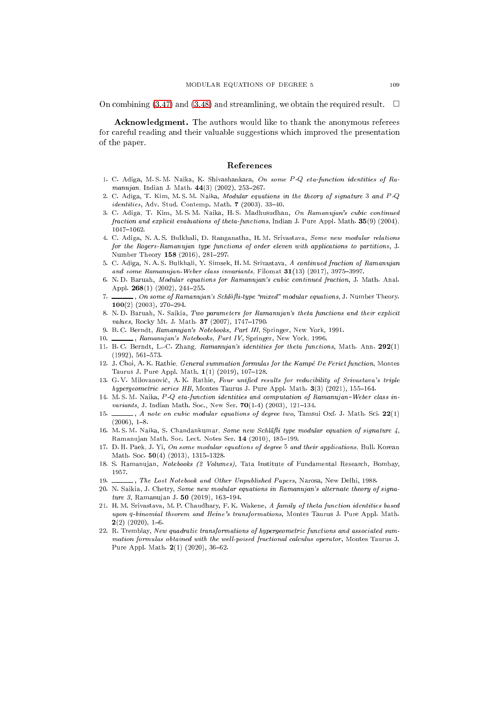On combining [\(3.47\)](#page-7-9) and [\(3.48\)](#page-7-10) and streamlining, we obtain the required result.  $\square$ 

Acknowledgment. The authors would like to thank the anonymous referees for areful reading and their valuable suggestions whi
h improved the presentation of the paper.

- <span id="page-8-5"></span>1. C. Adiga, M. S. M. Naika, K. Shivashankara, On some P-Q eta-function identities of Ramanujan, Indian J. Math.  $44(3)$  (2002), 253-267.
- 2. C. Adiga, T. Kim, M. S. M. Naika, Modular equations in the theory of signature 3 and P -Q  $identities$ , Adv. Stud. Contemp. Math.  $7$  (2003), 33-40.
- 3. C. Adiga, T. Kim, M.S.M. Naika, H.S. Madhusudhan, On Ramanujan's cubic continued fraction and explicit evaluations of theta-functions, Indian J. Pure Appl. Math. 35(9) (2004),  $1047 - 1062.$
- 4. C. Adiga, N. A. S. Bulkhali, D. Ranganatha, H. M. Srivastava, Some new modular relations for the Rogers-Ramanujan type functions of order eleven with applications to partitions, J. Number Theory 158 (2016), 281-297.
- 5. C. Adiga, N. A. S. Bulkhali, Y. Simsek, H. M. Srivastava, A continued fraction of Ramanujan and some Ramanujan-Weber class invariants, Filomat  $31(13)$  (2017), 3975-3997.
- 6. N.D. Baruah, Modular equations for Ramanujan's cubic continued fraction, J. Math. Anal. Appl.  $268(1)$  (2002), 244-255.
- , On some of Ramanujan's Schläfli-type "mixed" modular equations, J. Number Theory.  $100(2)$  (2003), 270-294.
- <span id="page-8-6"></span>8. N.D. Baruah, N. Saikia, Two parameters for Ramanujan's theta functions and their explicit values, Rocky Mt. J. Math. 37 (2007), 1747-1790.
- <span id="page-8-3"></span><span id="page-8-0"></span>9. B. C. Berndt, Ramanujan's Notebooks, Part III, Springer, New York, 1991.
- <span id="page-8-4"></span>10. , Ramanujan's Notebooks, Part IV, Springer, New York, 1996.
- 11. B.C. Berndt, L.-C. Zhang, Ramanujan's identities for theta functions, Math. Ann. 292(1)  $(1992), 561-573.$
- <span id="page-8-7"></span>12. J. Choi, A. K. Rathie, *General summation formulas for the Kampé De Feriet function*, Montes Taurus J. Pure Appl. Math.  $1(1)$  (2019), 107-128.
- 13. G.V. Milovanović, A.K. Rathie, Four unified results for reducibility of Srivastava's triple hypergeometric series HB, Montes Taurus J. Pure Appl. Math. 3(3) (2021), 155-164.
- 14. M. S. M. Naika, P-Q eta-function identities and computation of Ramanujan-Weber class invariants, J. Indian Math. Soc., New Ser. 70(1-4) (2003), 121-134.
- $\Box$ , A note on cubic modular equations of degree two, Tamsui Oxf. J. Math. Sci. 22(1) 15  $(2006), 1-8.$
- <span id="page-8-8"></span>16. M. S. M. Naika, S. Chandankumar, Some new Schläfli type modular equation of signature  $\chi$ , Ramanujan Math. Soc. Lect. Notes Ser. 14 (2010), 185-199.
- <span id="page-8-10"></span>17. D. H. Paek, J. Yi, On some modular equations of degree 5 and their applications, Bull. Korean Math. Soc.  $50(4)$  (2013), 1315-1328.
- <span id="page-8-1"></span>18. S. Ramanujan, Notebooks (2 Volumes), Tata Institute of Fundamental Research, Bombay, 1957.
- <span id="page-8-9"></span><span id="page-8-2"></span>19.  $\_\_\_\_\_\_\_\_\$ The Lost Notebook and Other Unpublished Papers, Narosa, New Delhi, 1988.
- 20. N. Saikia, J. Chetry, Some new modular equations in Ramanujan's alternate theory of signature 3, Ramanujan J. 50 (2019), 163-194.
- 21. H.M. Srivastava, M.P. Chaudhary, F.K. Wakene, A family of theta function identities based upon q-binomial theorem and Heine's transformations, Montes Taurus J. Pure Appl. Math.  $2(2)$  (2020), 1-6.
- 22. R. Tremblay, New quadratic transformations of hypergeometric functions and associated summation formulas obtained with the well-poised fractional calculus operator, Montes Taurus J. Pure Appl. Math.  $2(1)$  (2020), 36-62.